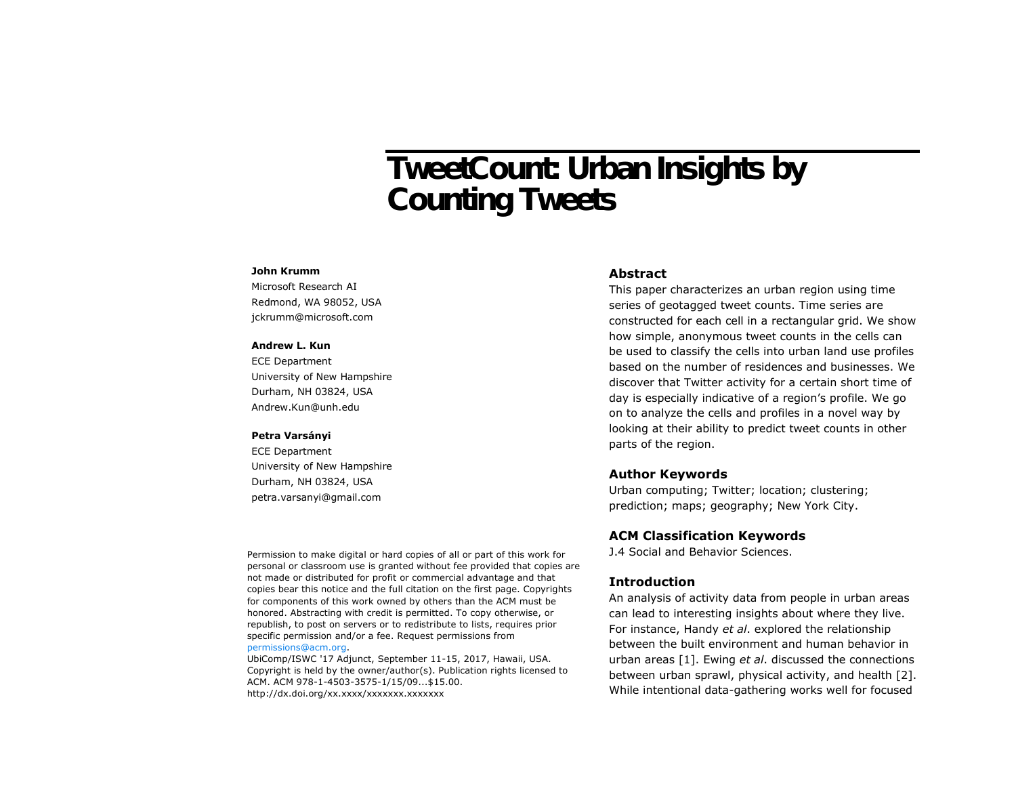# TweetCount: Urban Insights by Counting Tweets

#### **John Krumm**

Microsoft Research AI Redmond, WA 98052, USA jckrumm@microsoft.com

## **Andrew L. Kun**

ECE Department University of New Hampshire Durham, NH 03824, USA Andrew.Kun@unh.edu

#### **Petra Varsányi**

ECE Department University of New Hampshire Durham, NH 03824, USA petra.varsanyi@gmail.com

## **Abstract**

This paper characterizes an urban region using time series of geotagged tweet counts. Time series are constructed for each cell in a rectangular grid. We show how simple, anonymous tweet counts in the cells can be used to classify the cells into urban land use profiles based on the number of residences and businesses. We discover that Twitter activity for a certain short time of day is especially indicative of a region's profile. We go on to analyze the cells and profiles in a novel way by looking at their ability to predict tweet counts in other parts of the region.

# **Author Keywords**

Urban computing; Twitter; location; clustering; prediction; maps; geography; New York City.

## **ACM Classification Keywords**

J.4 Social and Behavior Sciences.

# **Introduction**

An analysis of activity data from people in urban areas can lead to interesting insights about where they live. For instance, Handy *et al*. explored the relationship between the built environment and human behavior in urban areas [1]. Ewing *et al*. discussed the connections between urban sprawl, physical activity, and health [2]. While intentional data-gathering works well for focused

Permission to make digital or hard copies of all or part of this work for personal or classroom use is granted without fee provided that copies are not made or distributed for profit or commercial advantage and that copies bear this notice and the full citation on the first page. Copyrights for components of this work owned by others than the ACM must be honored. Abstracting with credit is permitted. To copy otherwise, or republish, to post on servers or to redistribute to lists, requires prior specific permission and/or a fee. Request permissions from [permissions@acm.org.](mailto:permissions@acm.org)

UbiComp/ISWC '17 Adjunct, September 11-15, 2017, Hawaii, USA. Copyright is held by the owner/author(s). Publication rights licensed to ACM. ACM 978-1-4503-3575-1/15/09...\$15.00. http://dx.doi.org/xx.xxxx/xxxxxxxx.xxxxxx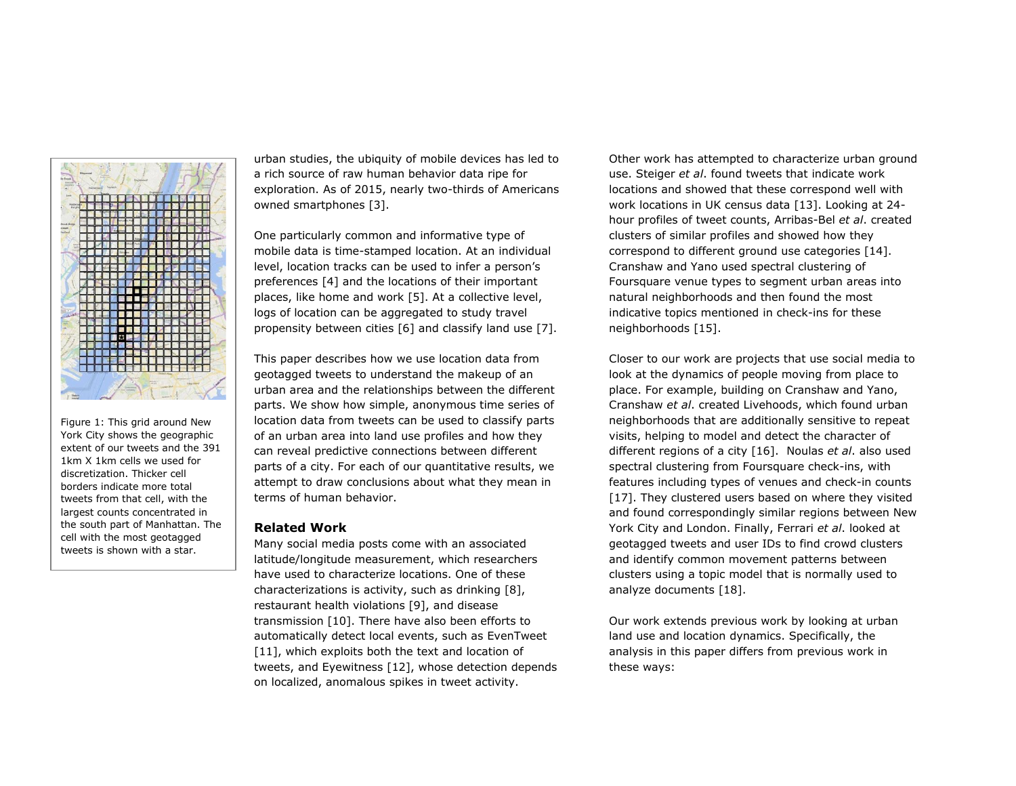

Figure 1: This grid around New York City shows the geographic extent of our tweets and the 391 1km X 1km cells we used for discretization. Thicker cell borders indicate more total tweets from that cell, with the largest counts concentrated in the south part of Manhattan. The cell with the most geotagged tweets is shown with a star.

urban studies, the ubiquity of mobile devices has led to a rich source of raw human behavior data ripe for exploration. As of 2015, nearly two-thirds of Americans owned smartphones [3].

One particularly common and informative type of mobile data is time-stamped location. At an individual level, location tracks can be used to infer a person's preferences [4] and the locations of their important places, like home and work [5]. At a collective level, logs of location can be aggregated to study travel propensity between cities [6] and classify land use [7].

This paper describes how we use location data from geotagged tweets to understand the makeup of an urban area and the relationships between the different parts. We show how simple, anonymous time series of location data from tweets can be used to classify parts of an urban area into land use profiles and how they can reveal predictive connections between different parts of a city. For each of our quantitative results, we attempt to draw conclusions about what they mean in terms of human behavior.

# **Related Work**

Many social media posts come with an associated latitude/longitude measurement, which researchers have used to characterize locations. One of these characterizations is activity, such as drinking [8], restaurant health violations [9], and disease transmission [10]. There have also been efforts to automatically detect local events, such as EvenTweet [11], which exploits both the text and location of tweets, and Eyewitness [12], whose detection depends on localized, anomalous spikes in tweet activity.

Other work has attempted to characterize urban ground use. Steiger *et al*. found tweets that indicate work locations and showed that these correspond well with work locations in UK census data [13]. Looking at 24 hour profiles of tweet counts, Arribas-Bel *et al*. created clusters of similar profiles and showed how they correspond to different ground use categories [14]. Cranshaw and Yano used spectral clustering of Foursquare venue types to segment urban areas into natural neighborhoods and then found the most indicative topics mentioned in check-ins for these neighborhoods [15].

Closer to our work are projects that use social media to look at the dynamics of people moving from place to place. For example, building on Cranshaw and Yano, Cranshaw *et al*. created Livehoods, which found urban neighborhoods that are additionally sensitive to repeat visits, helping to model and detect the character of different regions of a city [16]. Noulas *et al*. also used spectral clustering from Foursquare check-ins, with features including types of venues and check-in counts [17]. They clustered users based on where they visited and found correspondingly similar regions between New York City and London. Finally, Ferrari *et al*. looked at geotagged tweets and user IDs to find crowd clusters and identify common movement patterns between clusters using a topic model that is normally used to analyze documents [18].

Our work extends previous work by looking at urban land use and location dynamics. Specifically, the analysis in this paper differs from previous work in these ways: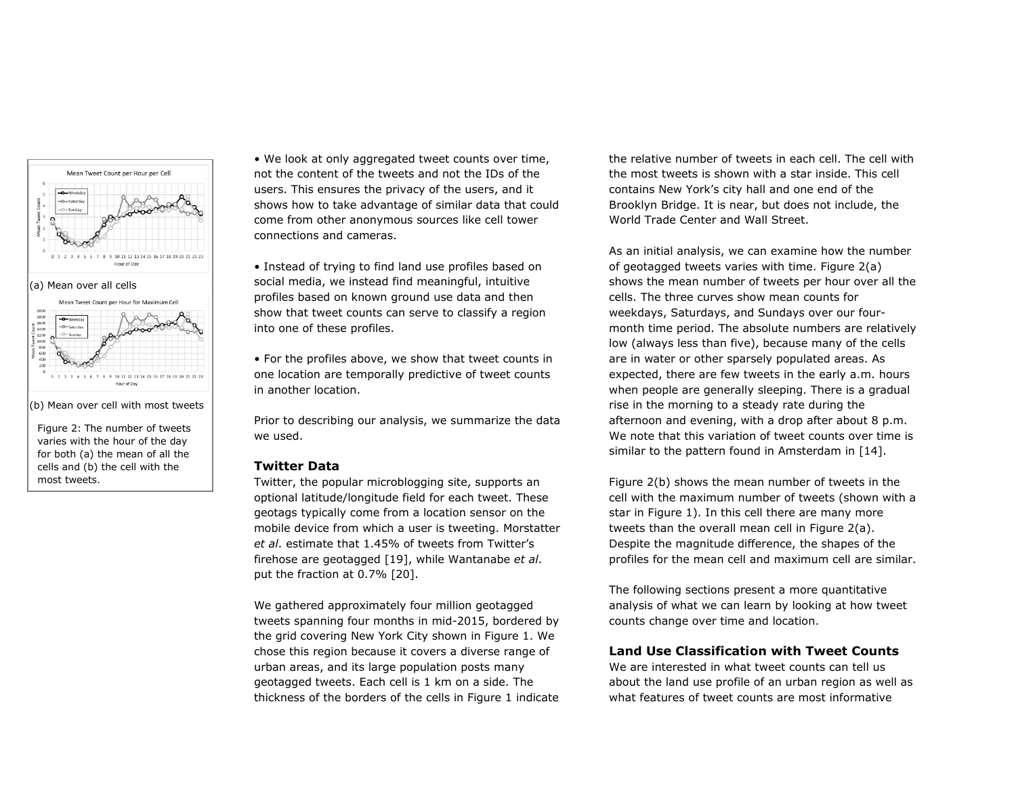

Figure 2: The number of tweets varies with the hour of the day

for both (a) the mean of all the cells and (b) the cell with the most tweets.

• We look at only aggregated tweet counts over time, not the content of the tweets and not the IDs of the users. This ensures the privacy of the users, and it shows how to take advantage of similar data that could come from other anonymous sources like cell tower connections and cameras.

• Instead of trying to find land use profiles based on social media, we instead find meaningful, intuitive profiles based on known ground use data and then show that tweet counts can serve to classify a region into one of these profiles.

• For the profiles above, we show that tweet counts in one location are temporally predictive of tweet counts in another location.

Prior to describing our analysis, we summarize the data we used.

#### **Twitter Data**

Twitter, the popular microblogging site, supports an optional latitude/longitude field for each tweet. These geotags typically come from a location sensor on the mobile device from which a user is tweeting. Morstatter *et al*. estimate that 1.45% of tweets from Twitter's firehose are geotagged [19], while Wantanabe *et al*. put the fraction at 0.7% [20].

We gathered approximately four million geotagged tweets spanning four months in mid-2015, bordered by the grid covering New York City shown in Figure 1. We chose this region because it covers a diverse range of urban areas, and its large population posts many geotagged tweets. Each cell is 1 km on a side. The thickness of the borders of the cells in Figure 1 indicate the relative number of tweets in each cell. The cell with the most tweets is shown with a star inside. This cell contains New York's city hall and one end of the Brooklyn Bridge. It is near, but does not include, the World Trade Center and Wall Street.

As an initial analysis, we can examine how the number of geotagged tweets varies with time. Figure 2(a) shows the mean number of tweets per hour over all the cells. The three curves show mean counts for weekdays, Saturdays, and Sundays over our fourmonth time period. The absolute numbers are relatively low (always less than five), because many of the cells are in water or other sparsely populated areas. As expected, there are few tweets in the early a.m. hours when people are generally sleeping. There is a gradual rise in the morning to a steady rate during the afternoon and evening, with a drop after about 8 p.m. We note that this variation of tweet counts over time is similar to the pattern found in Amsterdam in [14].

Figure 2(b) shows the mean number of tweets in the cell with the maximum number of tweets (shown with a star in Figure 1). In this cell there are many more tweets than the overall mean cell in Figure 2(a). Despite the magnitude difference, the shapes of the profiles for the mean cell and maximum cell are similar.

The following sections present a more quantitative analysis of what we can learn by looking at how tweet counts change over time and location.

# **Land Use Classification with Tweet Counts**

We are interested in what tweet counts can tell us about the land use profile of an urban region as well as what features of tweet counts are most informative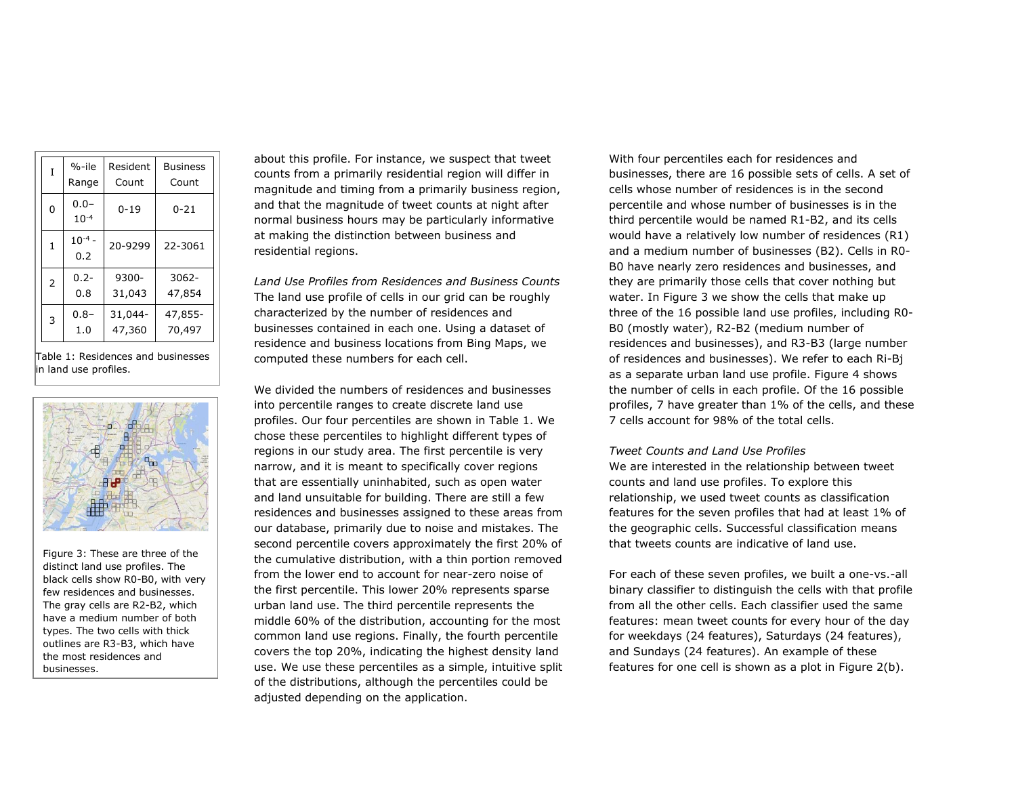| Ī              | $%-ile$              | Resident | <b>Business</b> |  |  |
|----------------|----------------------|----------|-----------------|--|--|
|                | Range                | Count    | Count           |  |  |
| 0              | $0.0 -$<br>$10^{-4}$ | $0 - 19$ | 0-21            |  |  |
| 1              | $10^{-4}$ -<br>0.2   | 20-9299  | 22-3061         |  |  |
| $\overline{2}$ | $0.2 -$              | $9300 -$ | $3062 -$        |  |  |
|                | 0.8                  | 31,043   | 47,854          |  |  |
| 3              | $0.8 -$              | 31,044-  | 47,855-         |  |  |
|                | 1.0                  | 47,360   | 70,497          |  |  |

Table 1: Residences and businesses in land use profiles.



Figure 3: These are three of the distinct land use profiles. The black cells show R0-B0, with very few residences and businesses. The gray cells are R2-B2, which have a medium number of both types. The two cells with thick outlines are R3-B3, which have the most residences and businesses.

about this profile. For instance, we suspect that tweet counts from a primarily residential region will differ in magnitude and timing from a primarily business region, and that the magnitude of tweet counts at night after normal business hours may be particularly informative at making the distinction between business and residential regions.

*Land Use Profiles from Residences and Business Counts* The land use profile of cells in our grid can be roughly characterized by the number of residences and businesses contained in each one. Using a dataset of residence and business locations from Bing Maps, we computed these numbers for each cell.

We divided the numbers of residences and businesses into percentile ranges to create discrete land use profiles. Our four percentiles are shown in Table 1. We chose these percentiles to highlight different types of regions in our study area. The first percentile is very narrow, and it is meant to specifically cover regions that are essentially uninhabited, such as open water and land unsuitable for building. There are still a few residences and businesses assigned to these areas from our database, primarily due to noise and mistakes. The second percentile covers approximately the first 20% of the cumulative distribution, with a thin portion removed from the lower end to account for near-zero noise of the first percentile. This lower 20% represents sparse urban land use. The third percentile represents the middle 60% of the distribution, accounting for the most common land use regions. Finally, the fourth percentile covers the top 20%, indicating the highest density land use. We use these percentiles as a simple, intuitive split of the distributions, although the percentiles could be adjusted depending on the application.

With four percentiles each for residences and businesses, there are 16 possible sets of cells. A set of cells whose number of residences is in the second percentile and whose number of businesses is in the third percentile would be named R1-B2, and its cells would have a relatively low number of residences (R1) and a medium number of businesses (B2). Cells in R0- B0 have nearly zero residences and businesses, and they are primarily those cells that cover nothing but water. In Figure 3 we show the cells that make up three of the 16 possible land use profiles, including R0- B0 (mostly water), R2-B2 (medium number of residences and businesses), and R3-B3 (large number of residences and businesses). We refer to each Ri-Bj as a separate urban land use profile. [Figure 4](#page-4-0) shows the number of cells in each profile. Of the 16 possible profiles, 7 have greater than 1% of the cells, and these 7 cells account for 98% of the total cells.

## *Tweet Counts and Land Use Profiles*

We are interested in the relationship between tweet counts and land use profiles. To explore this relationship, we used tweet counts as classification features for the seven profiles that had at least 1% of the geographic cells. Successful classification means that tweets counts are indicative of land use.

For each of these seven profiles, we built a one-vs.-all binary classifier to distinguish the cells with that profile from all the other cells. Each classifier used the same features: mean tweet counts for every hour of the day for weekdays (24 features), Saturdays (24 features), and Sundays (24 features). An example of these features for one cell is shown as a plot in Figure 2(b).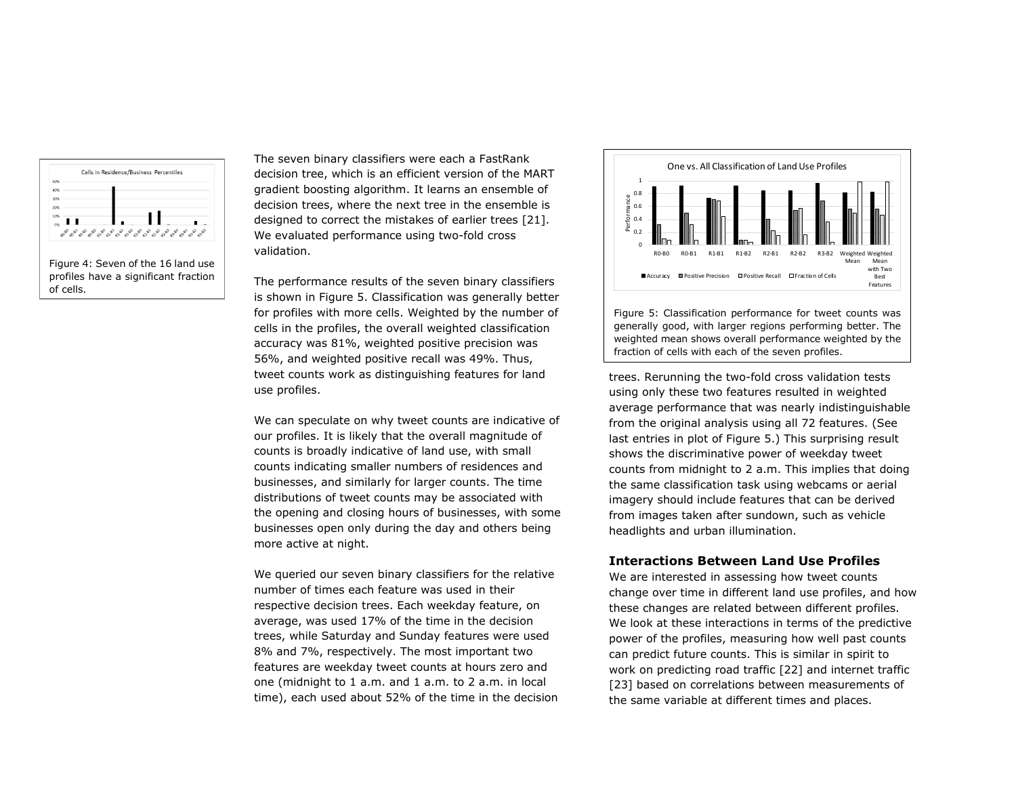<span id="page-4-0"></span>

The seven binary classifiers were each a FastRank decision tree, which is an efficient version of the MART gradient boosting algorithm. It learns an ensemble of decision trees, where the next tree in the ensemble is designed to correct the mistakes of earlier trees [21]. We evaluated performance using two-fold cross validation.

The performance results of the seven binary classifiers is shown in Figure 5. Classification was generally better for profiles with more cells. Weighted by the number of cells in the profiles, the overall weighted classification accuracy was 81%, weighted positive precision was 56%, and weighted positive recall was 49%. Thus, tweet counts work as distinguishing features for land use profiles.

We can speculate on why tweet counts are indicative of our profiles. It is likely that the overall magnitude of counts is broadly indicative of land use, with small counts indicating smaller numbers of residences and businesses, and similarly for larger counts. The time distributions of tweet counts may be associated with the opening and closing hours of businesses, with some businesses open only during the day and others being more active at night.

We queried our seven binary classifiers for the relative number of times each feature was used in their respective decision trees. Each weekday feature, on average, was used 17% of the time in the decision trees, while Saturday and Sunday features were used 8% and 7%, respectively. The most important two features are weekday tweet counts at hours zero and one (midnight to 1 a.m. and 1 a.m. to 2 a.m. in local time), each used about 52% of the time in the decision



Figure 5: Classification performance for tweet counts was generally good, with larger regions performing better. The weighted mean shows overall performance weighted by the fraction of cells with each of the seven profiles.

trees. Rerunning the two-fold cross validation tests using only these two features resulted in weighted average performance that was nearly indistinguishable from the original analysis using all 72 features. (See last entries in plot of Figure 5.) This surprising result shows the discriminative power of weekday tweet counts from midnight to 2 a.m. This implies that doing the same classification task using webcams or aerial imagery should include features that can be derived from images taken after sundown, such as vehicle headlights and urban illumination.

## **Interactions Between Land Use Profiles**

We are interested in assessing how tweet counts change over time in different land use profiles, and how these changes are related between different profiles. We look at these interactions in terms of the predictive power of the profiles, measuring how well past counts can predict future counts. This is similar in spirit to work on predicting road traffic [22] and internet traffic [23] based on correlations between measurements of the same variable at different times and places.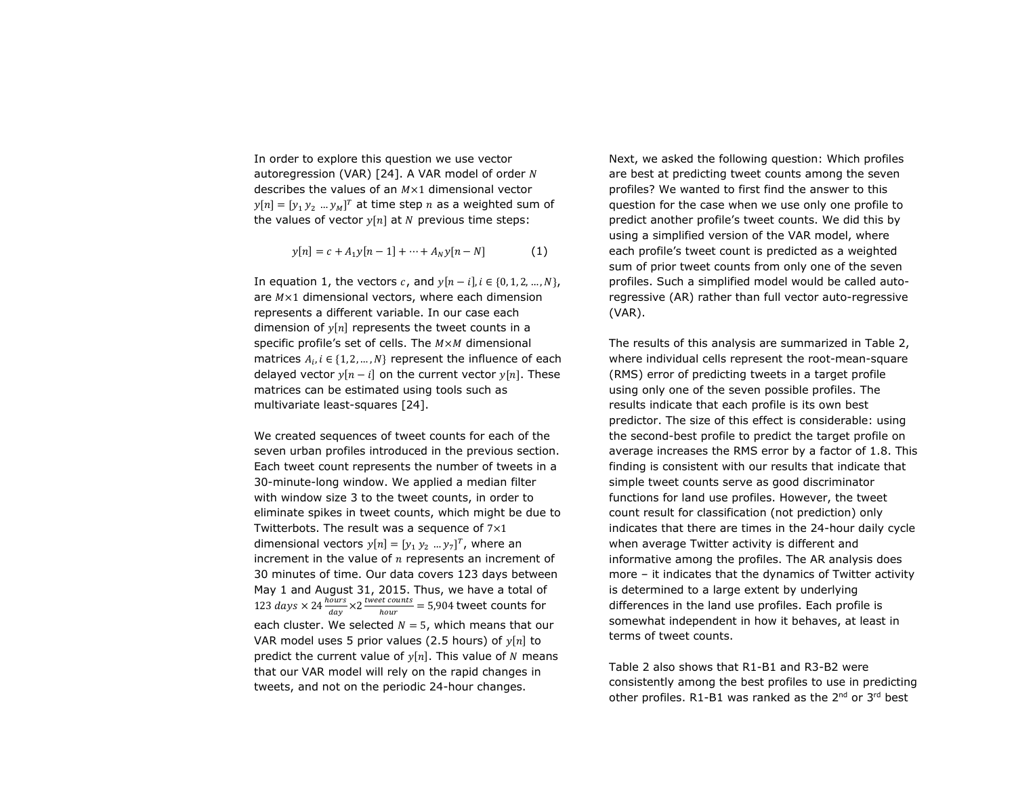In order to explore this question we use vector autoregression (VAR) [24]. A VAR model of order  $N$ describes the values of an  $M \times 1$  dimensional vector  $[y[n] = [y_1 y_2 ... y_M]^T$  at time step n as a weighted sum of the values of vector  $y[n]$  at N previous time steps:

$$
y[n] = c + A_1 y[n-1] + \dots + A_N y[n-N]
$$
 (1)

In equation 1, the vectors c, and  $y[n - i]$ ,  $i \in \{0, 1, 2, ..., N\}$ , are  $M \times 1$  dimensional vectors, where each dimension represents a different variable. In our case each dimension of  $y[n]$  represents the tweet counts in a specific profile's set of cells. The  $M \times M$  dimensional matrices  $A_i$ ,  $i \in \{1, 2, ..., N\}$  represent the influence of each delayed vector  $y[n - i]$  on the current vector  $y[n]$ . These matrices can be estimated using tools such as multivariate least-squares [24].

We created sequences of tweet counts for each of the seven urban profiles introduced in the previous section. Each tweet count represents the number of tweets in a 30-minute-long window. We applied a median filter with window size 3 to the tweet counts, in order to eliminate spikes in tweet counts, which might be due to Twitterbots. The result was a sequence of  $7\times1$ dimensional vectors  $y[n] = [y_1 y_2 ... y_7]^T$ , where an increment in the value of  $n$  represents an increment of 30 minutes of time. Our data covers 123 days between May 1 and August 31, 2015. Thus, we have a total of 123 days  $\times$  24  $\frac{hours}{day}$   $\times$  2  $\frac{tweet \, counts}{hour}$  $\frac{v_{\text{t}}}{h_{\text{out}}}$  = 5,904 tweet counts for each cluster. We selected  $N = 5$ , which means that our VAR model uses 5 prior values (2.5 hours) of  $y[n]$  to predict the current value of  $v[n]$ . This value of N means that our VAR model will rely on the rapid changes in tweets, and not on the periodic 24-hour changes.

Next, we asked the following question: Which profiles are best at predicting tweet counts among the seven profiles? We wanted to first find the answer to this question for the case when we use only one profile to predict another profile's tweet counts. We did this by using a simplified version of the VAR model, where each profile's tweet count is predicted as a weighted sum of prior tweet counts from only one of the seven profiles. Such a simplified model would be called autoregressive (AR) rather than full vector auto-regressive (VAR).

The results of this analysis are summarized in Table 2, where individual cells represent the root-mean-square (RMS) error of predicting tweets in a target profile using only one of the seven possible profiles. The results indicate that each profile is its own best predictor. The size of this effect is considerable: using the second-best profile to predict the target profile on average increases the RMS error by a factor of 1.8. This finding is consistent with our results that indicate that simple tweet counts serve as good discriminator functions for land use profiles. However, the tweet count result for classification (not prediction) only indicates that there are times in the 24-hour daily cycle when average Twitter activity is different and informative among the profiles. The AR analysis does more – it indicates that the dynamics of Twitter activity is determined to a large extent by underlying differences in the land use profiles. Each profile is somewhat independent in how it behaves, at least in terms of tweet counts.

Table 2 also shows that R1-B1 and R3-B2 were consistently among the best profiles to use in predicting other profiles. R1-B1 was ranked as the 2<sup>nd</sup> or 3<sup>rd</sup> best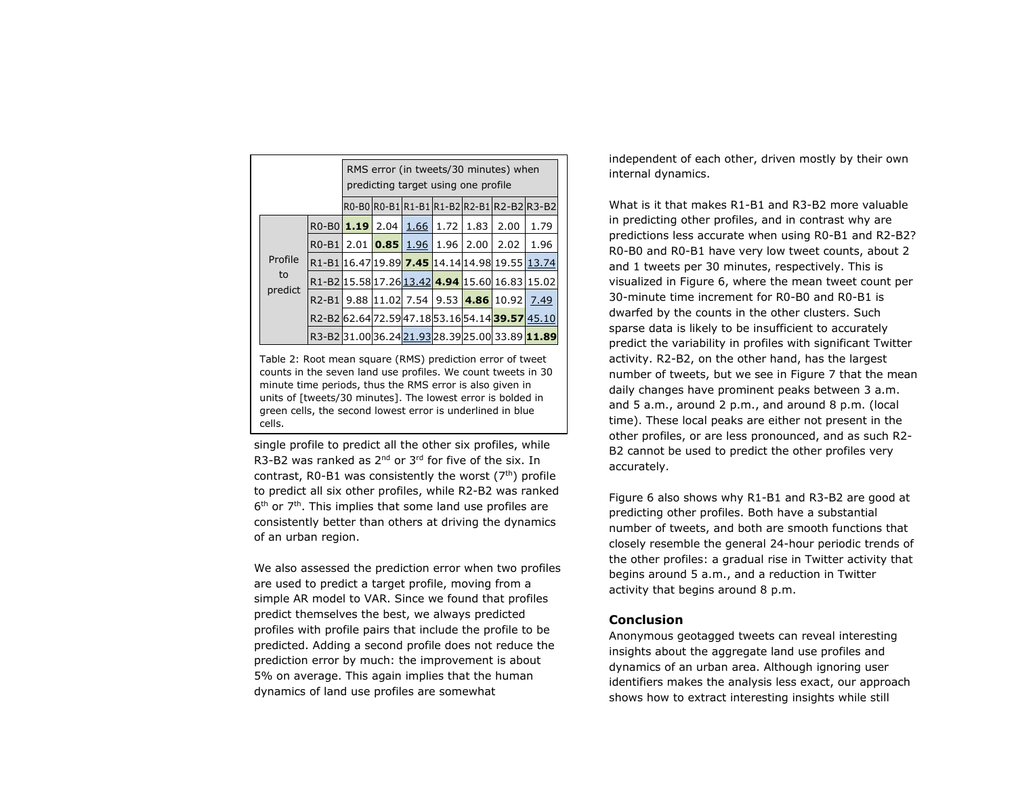|  |                          | RMS error (in tweets/30 minutes) when<br>predicting target using one profile |  |            |  |                       |      |                                                 |      |
|--|--------------------------|------------------------------------------------------------------------------|--|------------|--|-----------------------|------|-------------------------------------------------|------|
|  |                          |                                                                              |  |            |  |                       |      | R0-B0 R0-B1 R1-B1 R1-B2 R2-B1 R2-B2 R3-B2       |      |
|  | Profile<br>to<br>predict | R0-B0 <b>1.19</b> 2.04   1.66   1.72                                         |  |            |  |                       | 1.83 | 2.00                                            | 1.79 |
|  |                          | $RO-B1$                                                                      |  |            |  | $2.01$ 0.85 1.96 1.96 | 2.00 | 2.02                                            | 1.96 |
|  |                          |                                                                              |  |            |  |                       |      | R1-B116.47 19.89 7.45 14.14 14.98 19.55 13.74   |      |
|  |                          |                                                                              |  |            |  |                       |      | R1-B2 15.58 17.26 13.42 4.94 15.60 16.83 15.02  |      |
|  |                          | $R2-B1$                                                                      |  | 9.88 11.02 |  |                       |      | 7.54 9.53 4.86 10.92                            | 7.49 |
|  |                          |                                                                              |  |            |  |                       |      | R2-B2 62.64 72.59 47.18 53.16 54.14 39.57 45.10 |      |
|  |                          |                                                                              |  |            |  |                       |      | R3-B231.0036.2421.9328.3925.0033.8911.89        |      |

Table 2: Root mean square (RMS) prediction error of tweet counts in the seven land use profiles. We count tweets in 30 minute time periods, thus the RMS error is also given in units of [tweets/30 minutes]. The lowest error is bolded in green cells, the second lowest error is underlined in blue cells.

single profile to predict all the other six profiles, while R3-B2 was ranked as  $2^{nd}$  or  $3^{rd}$  for five of the six. In contrast, R0-B1 was consistently the worst  $(7<sup>th</sup>)$  profile to predict all six other profiles, while R2-B2 was ranked 6<sup>th</sup> or 7<sup>th</sup>. This implies that some land use profiles are consistently better than others at driving the dynamics of an urban region.

We also assessed the prediction error when two profiles are used to predict a target profile, moving from a simple AR model to VAR. Since we found that profiles predict themselves the best, we always predicted profiles with profile pairs that include the profile to be predicted. Adding a second profile does not reduce the prediction error by much: the improvement is about 5% on average. This again implies that the human dynamics of land use profiles are somewhat

independent of each other, driven mostly by their own internal dynamics.

What is it that makes R1-B1 and R3-B2 more valuable in predicting other profiles, and in contrast why are predictions less accurate when using R0-B1 and R2-B2? R0-B0 and R0-B1 have very low tweet counts, about 2 and 1 tweets per 30 minutes, respectively. This is visualized in Figure 6, where the mean tweet count per 30-minute time increment for R0-B0 and R0-B1 is dwarfed by the counts in the other clusters. Such sparse data is likely to be insufficient to accurately predict the variability in profiles with significant Twitter activity. R2-B2, on the other hand, has the largest number of tweets, but we see in Figure 7 that the mean daily changes have prominent peaks between 3 a.m. and 5 a.m., around 2 p.m., and around 8 p.m. (local time). These local peaks are either not present in the other profiles, or are less pronounced, and as such R2- B2 cannot be used to predict the other profiles very accurately.

Figure 6 also shows why R1-B1 and R3-B2 are good at predicting other profiles. Both have a substantial number of tweets, and both are smooth functions that closely resemble the general 24-hour periodic trends of the other profiles: a gradual rise in Twitter activity that begins around 5 a.m., and a reduction in Twitter activity that begins around 8 p.m.

## **Conclusion**

Anonymous geotagged tweets can reveal interesting insights about the aggregate land use profiles and dynamics of an urban area. Although ignoring user identifiers makes the analysis less exact, our approach shows how to extract interesting insights while still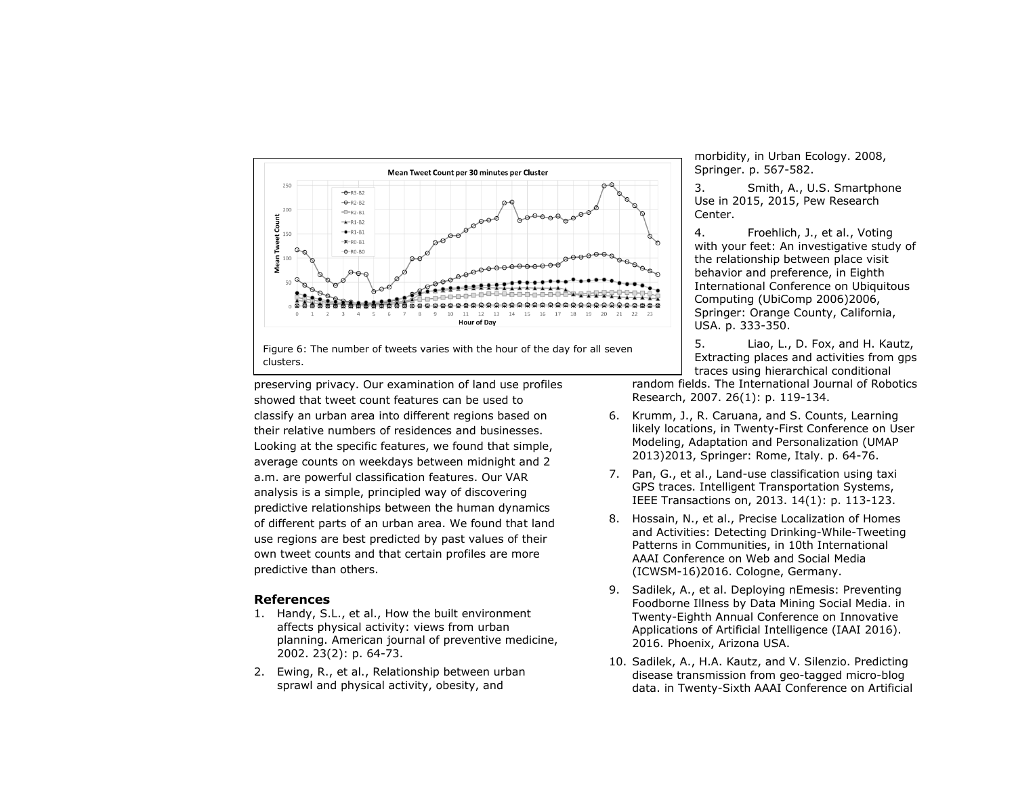

Figure 6: The number of tweets varies with the hour of the day for all seven clusters.

preserving privacy. Our examination of land use profiles showed that tweet count features can be used to classify an urban area into different regions based on their relative numbers of residences and businesses. Looking at the specific features, we found that simple, average counts on weekdays between midnight and 2 a.m. are powerful classification features. Our VAR analysis is a simple, principled way of discovering predictive relationships between the human dynamics of different parts of an urban area. We found that land use regions are best predicted by past values of their own tweet counts and that certain profiles are more predictive than others.

## **References**

- 1. Handy, S.L., et al., How the built environment affects physical activity: views from urban planning. American journal of preventive medicine, 2002. 23(2): p. 64-73.
- 2. Ewing, R., et al., Relationship between urban sprawl and physical activity, obesity, and

morbidity, in Urban Ecology. 2008, Springer. p. 567-582.

3. Smith, A., U.S. Smartphone Use in 2015, 2015, Pew Research Center.

4. Froehlich, J., et al., Voting with your feet: An investigative study of the relationship between place visit behavior and preference, in Eighth International Conference on Ubiquitous Computing (UbiComp 2006)2006, Springer: Orange County, California, USA. p. 333-350.

5. Liao, L., D. Fox, and H. Kautz, Extracting places and activities from gps traces using hierarchical conditional

random fields. The International Journal of Robotics Research, 2007. 26(1): p. 119-134.

- 6. Krumm, J., R. Caruana, and S. Counts, Learning likely locations, in Twenty-First Conference on User Modeling, Adaptation and Personalization (UMAP 2013)2013, Springer: Rome, Italy. p. 64-76.
- 7. Pan, G., et al., Land-use classification using taxi GPS traces. Intelligent Transportation Systems, IEEE Transactions on, 2013. 14(1): p. 113-123.
- 8. Hossain, N., et al., Precise Localization of Homes and Activities: Detecting Drinking-While-Tweeting Patterns in Communities, in 10th International AAAI Conference on Web and Social Media (ICWSM-16)2016. Cologne, Germany.
- 9. Sadilek, A., et al. Deploying nEmesis: Preventing Foodborne Illness by Data Mining Social Media. in Twenty-Eighth Annual Conference on Innovative Applications of Artificial Intelligence (IAAI 2016). 2016. Phoenix, Arizona USA.
- 10. Sadilek, A., H.A. Kautz, and V. Silenzio. Predicting disease transmission from geo-tagged micro-blog data. in Twenty-Sixth AAAI Conference on Artificial